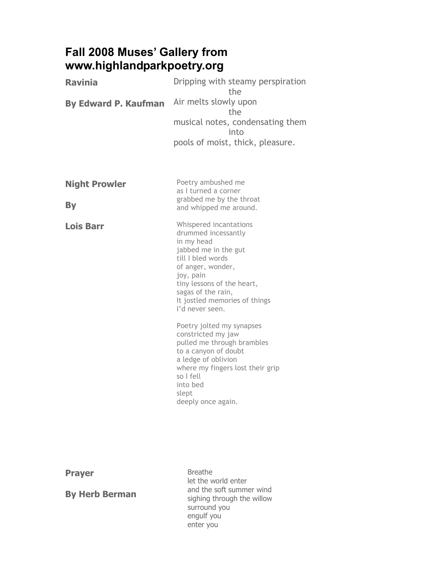## **Fall 2008 Muses' Gallery from www.highlandparkpoetry.org**

| <b>Ravinia</b>              | Dripping with steamy perspiration<br>the                                                                                                                                                                                                           |
|-----------------------------|----------------------------------------------------------------------------------------------------------------------------------------------------------------------------------------------------------------------------------------------------|
| <b>By Edward P. Kaufman</b> | Air melts slowly upon<br>the<br>musical notes, condensating them<br>into<br>pools of moist, thick, pleasure.                                                                                                                                       |
| <b>Night Prowler</b>        | Poetry ambushed me<br>as I turned a corner<br>grabbed me by the throat                                                                                                                                                                             |
| <b>By</b>                   | and whipped me around.                                                                                                                                                                                                                             |
| <b>Lois Barr</b>            | Whispered incantations<br>drummed incessantly<br>in my head<br>jabbed me in the gut<br>till I bled words<br>of anger, wonder,<br>joy, pain<br>tiny lessons of the heart,<br>sagas of the rain,<br>It jostled memories of things<br>I'd never seen. |
|                             | Poetry jolted my synapses<br>constricted my jaw<br>pulled me through brambles<br>to a canyon of doubt<br>a ledge of oblivion<br>where my fingers lost their grip<br>so I fell<br>into bed<br>slept                                                 |

deeply once again.

**Prayer** 

**By Herb Berman**

Breathe let the world enter and the soft summer wind sighing through the willow surround you engulf you enter you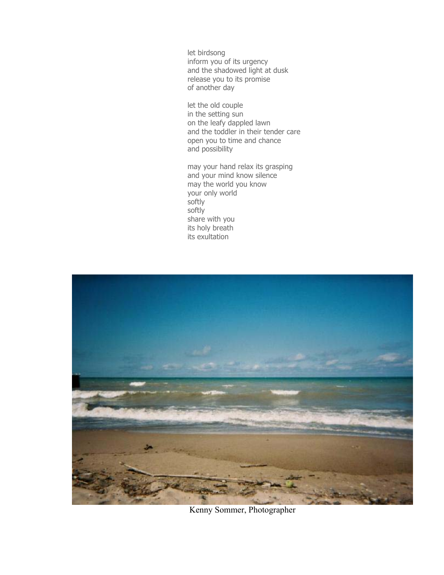let birdsong inform you of its urgency and the shadowed light at dusk release you to its promise of another day

let the old couple in the setting sun on the leafy dappled lawn and the toddler in their tender care open you to time and chance and possibility

may your hand relax its grasping and your mind know silence may the world you know your only world softly softly share with you its holy breath its exultation



Kenny Sommer, Photographer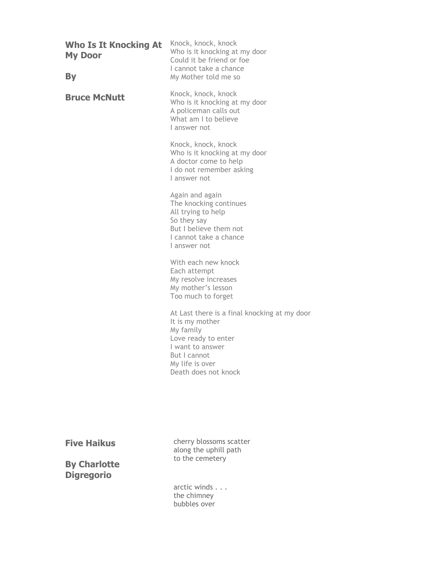| <b>Who Is It Knocking At</b><br><b>My Door</b><br>By | Knock, knock, knock<br>Who is it knocking at my door<br>Could it be friend or foe<br>I cannot take a chance<br>My Mother told me so                                                |
|------------------------------------------------------|------------------------------------------------------------------------------------------------------------------------------------------------------------------------------------|
| <b>Bruce McNutt</b>                                  | Knock, knock, knock<br>Who is it knocking at my door<br>A policeman calls out<br>What am I to believe<br>Lanswer not                                                               |
|                                                      | Knock, knock, knock<br>Who is it knocking at my door<br>A doctor come to help<br>I do not remember asking<br>l answer not                                                          |
|                                                      | Again and again<br>The knocking continues<br>All trying to help<br>So they say<br>But I believe them not<br>I cannot take a chance<br>I answer not                                 |
|                                                      | With each new knock<br>Each attempt<br>My resolve increases<br>My mother's lesson<br>Too much to forget                                                                            |
|                                                      | At Last there is a final knocking at my door<br>It is my mother<br>My family<br>Love ready to enter<br>I want to answer<br>But I cannot<br>My life is over<br>Death does not knock |
|                                                      |                                                                                                                                                                                    |

**Five Haikus** 

cherry blossoms scatter along the uphill path to the cemetery

**By Charlotte Digregorio** 

> arctic winds . . . the chimney bubbles over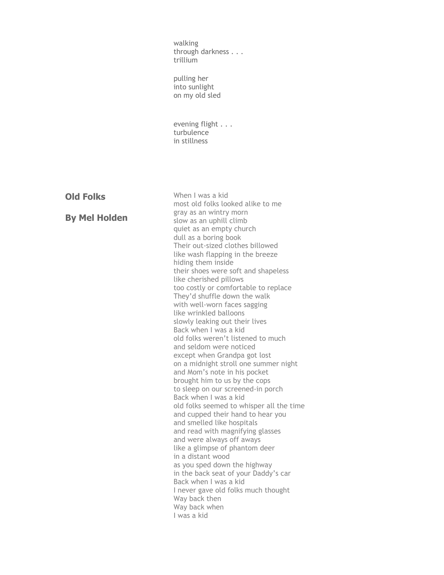walking through darkness . . . trillium

pulling her into sunlight on my old sled

evening flight . . . turbulence in stillness

**Old Folks** 

**By Mel Holden**

When I was a kid most old folks looked alike to me gray as an wintry morn slow as an uphill climb quiet as an empty church dull as a boring book Their out-sized clothes billowed like wash flapping in the breeze hiding them inside their shoes were soft and shapeless like cherished pillows too costly or comfortable to replace They'd shuffle down the walk with well-worn faces sagging like wrinkled balloons slowly leaking out their lives Back when I was a kid old folks weren't listened to much and seldom were noticed except when Grandpa got lost on a midnight stroll one summer night and Mom's note in his pocket brought him to us by the cops to sleep on our screened-in porch Back when I was a kid old folks seemed to whisper all the time and cupped their hand to hear you and smelled like hospitals and read with magnifying glasses and were always off aways like a glimpse of phantom deer in a distant wood as you sped down the highway in the back seat of your Daddy's car Back when I was a kid I never gave old folks much thought Way back then Way back when I was a kid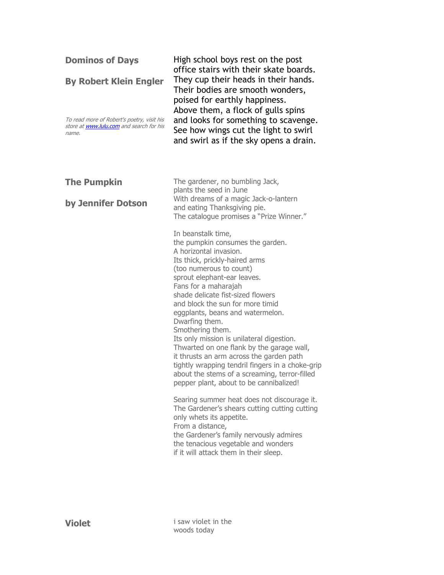| High school boys rest on the post<br>office stairs with their skate boards.<br>They cup their heads in their hands.<br>Their bodies are smooth wonders,<br>poised for earthly happiness.<br>Above them, a flock of gulls spins<br>and looks for something to scavenge.<br>See how wings cut the light to swirl<br>and swirl as if the sky opens a drain.                                                                                                                                                                                                                                                                                      |
|-----------------------------------------------------------------------------------------------------------------------------------------------------------------------------------------------------------------------------------------------------------------------------------------------------------------------------------------------------------------------------------------------------------------------------------------------------------------------------------------------------------------------------------------------------------------------------------------------------------------------------------------------|
| The gardener, no bumbling Jack,<br>plants the seed in June<br>With dreams of a magic Jack-o-lantern<br>and eating Thanksgiving pie.<br>The catalogue promises a "Prize Winner."                                                                                                                                                                                                                                                                                                                                                                                                                                                               |
| In beanstalk time,<br>the pumpkin consumes the garden.<br>A horizontal invasion.<br>Its thick, prickly-haired arms<br>(too numerous to count)<br>sprout elephant-ear leaves.<br>Fans for a maharajah<br>shade delicate fist-sized flowers<br>and block the sun for more timid<br>eggplants, beans and watermelon.<br>Dwarfing them.<br>Smothering them.<br>Its only mission is unilateral digestion.<br>Thwarted on one flank by the garage wall,<br>it thrusts an arm across the garden path<br>tightly wrapping tendril fingers in a choke-grip<br>about the stems of a screaming, terror-filled<br>pepper plant, about to be cannibalized! |
| Searing summer heat does not discourage it.<br>The Gardener's shears cutting cutting cutting<br>only whets its appetite.<br>From a distance,<br>the Gardener's family nervously admires<br>the tenacious vegetable and wonders<br>if it will attack them in their sleep.                                                                                                                                                                                                                                                                                                                                                                      |
|                                                                                                                                                                                                                                                                                                                                                                                                                                                                                                                                                                                                                                               |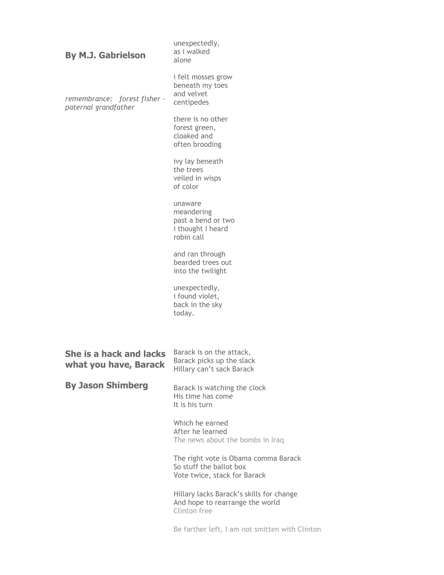| <b>By M.J. Gabrielson</b>                               | unexpectedly,<br>as i walked<br>alone                                                           |
|---------------------------------------------------------|-------------------------------------------------------------------------------------------------|
| remembrance: forest fisher -<br>paternal grandfather    | i felt mosses grow<br>beneath my toes<br>and velvet<br>centipedes                               |
|                                                         | there is no other<br>forest green,<br>cloaked and<br>often brooding                             |
|                                                         | ivy lay beneath<br>the trees<br>veiled in wisps<br>of color                                     |
|                                                         | unaware<br>meandering<br>past a bend or two<br>i thought I heard<br>robin call                  |
|                                                         | and ran through<br>bearded trees out<br>into the twilight                                       |
|                                                         | unexpectedly,<br>i found violet,<br>back in the sky<br>today.                                   |
|                                                         |                                                                                                 |
| <b>She is a hack and lacks</b><br>what you have, Barack | Barack is on the attack,<br>Barack picks up the slack<br>Hillary can't sack Barack              |
| <b>By Jason Shimberg</b>                                | Barack is watching the clock<br>His time has come<br>It is his turn                             |
|                                                         | Which he earned<br>After he learned<br>The news about the bombs in Iraq                         |
|                                                         | The right vote is Obama comma Barack<br>So stuff the ballot box<br>Vote twice, stack for Barack |
|                                                         | Hillary lacks Barack's skills for change<br>And hope to rearrange the world<br>Clinton free     |
|                                                         | Be farther left, I am not smitten with Clinton                                                  |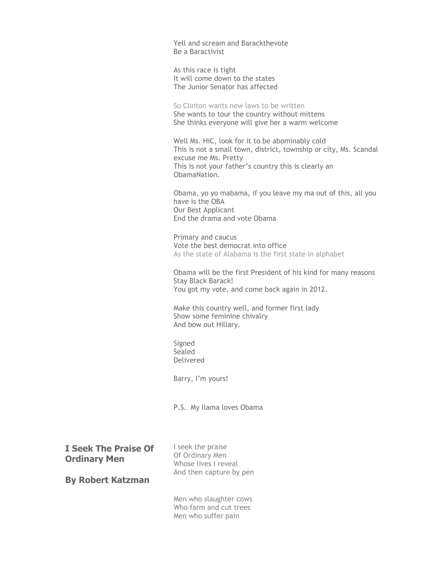Yell and scream and Barackthevote Be a Baractivist

As this race is tight It will come down to the states The Junior Senator has affected

So Clinton wants new laws to be written She wants to tour the country without mittens She thinks everyone will give her a warm welcome

Well Ms. HiC, look for it to be abominably cold This is not a small town, district, township or city, Ms. Scandal excuse me Ms. Pretty This is not your father's country this is clearly an ObamaNation.

Obama, yo yo mabama, if you leave my ma out of this, all you have is the OBA Our Best Applicant End the drama and vote Obama

Primary and caucus Vote the best democrat into office As the state of Alabama is the first state in alphabet

Obama will be the first President of his kind for many reasons Stay Black Barack! You got my vote, and come back again in 2012.

Make this country well, and former first lady Show some feminine chivalry And bow out Hillary.

Signed Sealed Delivered

Barry, I'm yours!

P.S. My llama loves Obama

**I Seek The Praise Of Ordinary Men** 

I seek the praise Of Ordinary Men Whose lives I reveal And then capture by pen

**By Robert Katzman**

Men who slaughter cows Who farm and cut trees Men who suffer pain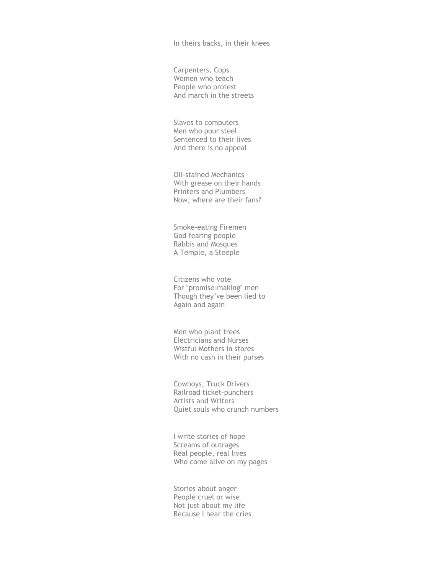In theirs backs, in their knees

Carpenters, Cops Women who teach People who protest And march in the streets

Slaves to computers Men who pour steel Sentenced to their lives And there is no appeal

Oil-stained Mechanics With grease on their hands Printers and Plumbers Now, where are their fans?

Smoke-eating Firemen God fearing people Rabbis and Mosques A Temple, a Steeple

Citizens who vote For "promise-making" men Though they've been lied to Again and again

Men who plant trees Electricians and Nurses Wistful Mothers in stores With no cash in their purses

Cowboys, Truck Drivers Railroad ticket-punchers Artists and Writers Quiet souls who crunch numbers

I write stories of hope Screams of outrages Real people, real lives Who come alive on my pages

Stories about anger People cruel or wise Not just about my life Because I hear the cries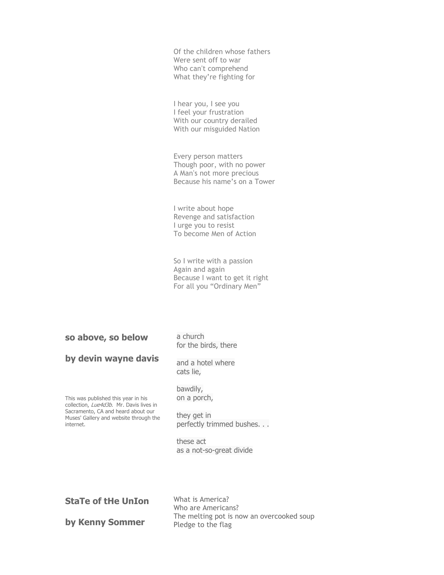Of the children whose fathers Were sent off to war Who can't comprehend What they're fighting for

I hear you, I see you I feel your frustration With our country derailed With our misguided Nation

Every person matters Though poor, with no power A Man's not more precious Because his name's on a Tower

I write about hope Revenge and satisfaction I urge you to resist To become Men of Action

So I write with a passion Again and again Because I want to get it right For all you "Ordinary Men"

The melting pot is now an overcooked soup

Pledge to the flag

| so above, so below                                                                                                                                                          | a church<br>for the birds, there                                                                             |
|-----------------------------------------------------------------------------------------------------------------------------------------------------------------------------|--------------------------------------------------------------------------------------------------------------|
| by devin wayne davis                                                                                                                                                        | and a hotel where<br>cats lie,                                                                               |
| This was published this year in his<br>collection, Lue4d3b. Mr. Davis lives in<br>Sacramento, CA and heard about our<br>Muses' Gallery and website through the<br>internet. | bawdily,<br>on a porch,<br>they get in<br>perfectly trimmed bushes.<br>these act<br>as a not-so-great divide |
| <b>StaTe of tHe UnIon</b>                                                                                                                                                   | What is America?<br>Who are Americans?                                                                       |

**by Kenny Sommer**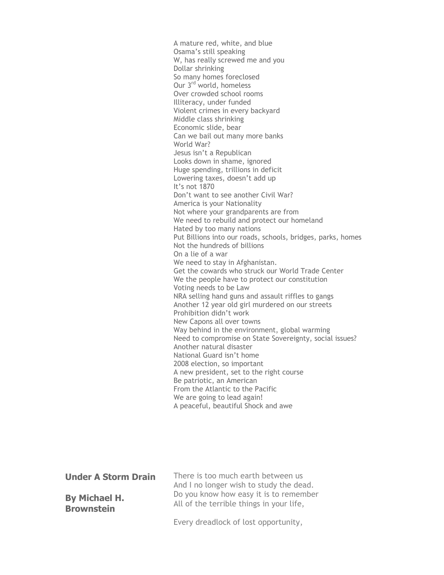A mature red, white, and blue Osama's still speaking W, has really screwed me and you Dollar shrinking So many homes foreclosed Our 3<sup>rd</sup> world, homeless Over crowded school rooms Illiteracy, under funded Violent crimes in every backyard Middle class shrinking Economic slide, bear Can we bail out many more banks World War? Jesus isn't a Republican Looks down in shame, ignored Huge spending, trillions in deficit Lowering taxes, doesn't add up It's not 1870 Don't want to see another Civil War? America is your Nationality Not where your grandparents are from We need to rebuild and protect our homeland Hated by too many nations Put Billions into our roads, schools, bridges, parks, homes Not the hundreds of billions On a lie of a war We need to stay in Afghanistan. Get the cowards who struck our World Trade Center We the people have to protect our constitution Voting needs to be Law NRA selling hand guns and assault riffles to gangs Another 12 year old girl murdered on our streets Prohibition didn't work New Capons all over towns Way behind in the environment, global warming Need to compromise on State Sovereignty, social issues? Another natural disaster National Guard isn't home 2008 election, so important A new president, set to the right course Be patriotic, an American From the Atlantic to the Pacific We are going to lead again! A peaceful, beautiful Shock and awe

| <b>Under A Storm Drain</b>                | There is too much earth between us<br>And I no longer wish to study the dead.      |
|-------------------------------------------|------------------------------------------------------------------------------------|
| <b>By Michael H.</b><br><b>Brownstein</b> | Do you know how easy it is to remember<br>All of the terrible things in your life, |
|                                           |                                                                                    |

Every dreadlock of lost opportunity,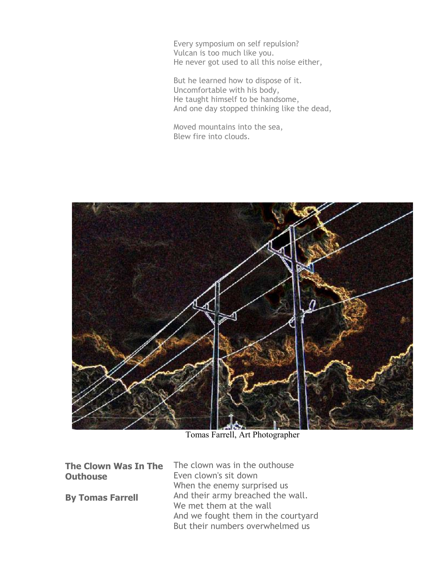Every symposium on self repulsion? Vulcan is too much like you. He never got used to all this noise either,

But he learned how to dispose of it. Uncomfortable with his body, He taught himself to be handsome, And one day stopped thinking like the dead,

Moved mountains into the sea, Blew fire into clouds.



Tomas Farrell, Art Photographer

**The Clown Was In The Outhouse** 

**By Tomas Farrell** 

The clown was in the outhouse Even clown's sit down When the enemy surprised us And their army breached the wall. We met them at the wall And we fought them in the courtyard But their numbers overwhelmed us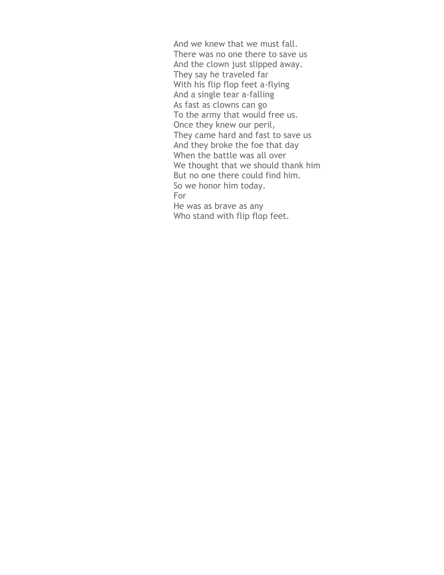And we knew that we must fall. There was no one there to save us And the clown just slipped away. They say he traveled far With his flip flop feet a-flying And a single tear a-falling As fast as clowns can go To the army that would free us. Once they knew our peril, They came hard and fast to save us And they broke the foe that day When the battle was all over We thought that we should thank him But no one there could find him. So we honor him today. For He was as brave as any Who stand with flip flop feet.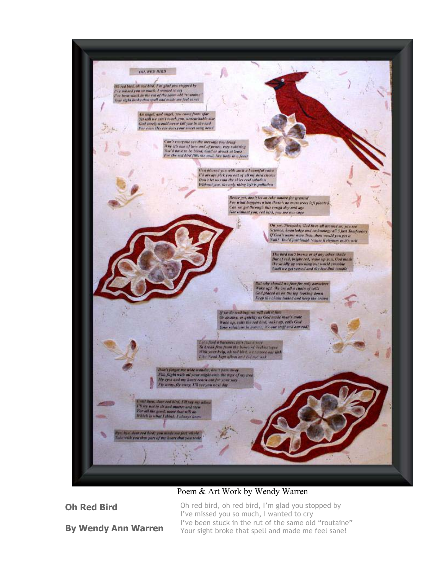

## Poem & Art Work by Wendy Warren

**Oh Red Bird** 

Oh red bird, oh red bird, I'm glad you stopped by I've missed you so much, I wanted to cry I've been stuck in the rut of the same old "routaine" Your sight broke that spell and made me feel sane!

**By Wendy Ann Warren**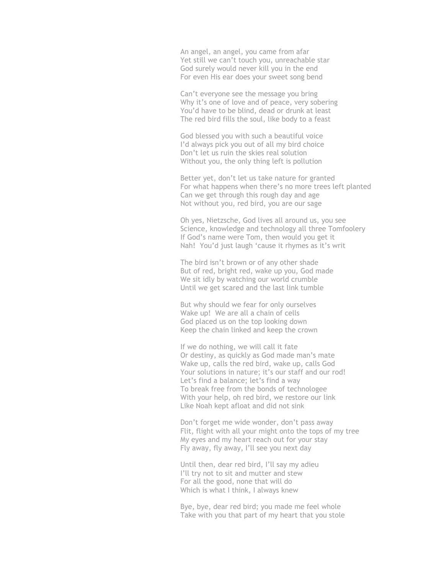An angel, an angel, you came from afar Yet still we can't touch you, unreachable star God surely would never kill you in the end For even His ear does your sweet song bend

Can't everyone see the message you bring Why it's one of love and of peace, very sobering You'd have to be blind, dead or drunk at least The red bird fills the soul, like body to a feast

God blessed you with such a beautiful voice I'd always pick you out of all my bird choice Don't let us ruin the skies real solution Without you, the only thing left is pollution

Better yet, don't let us take nature for granted For what happens when there's no more trees left planted Can we get through this rough day and age Not without you, red bird, you are our sage

Oh yes, Nietzsche, God lives all around us, you see Science, knowledge and technology all three Tomfoolery If God's name were Tom, then would you get it Nah! You'd just laugh 'cause it rhymes as it's writ

The bird isn't brown or of any other shade But of red, bright red, wake up you, God made We sit idly by watching our world crumble Until we get scared and the last link tumble

But why should we fear for only ourselves Wake up! We are all a chain of cells God placed us on the top looking down Keep the chain linked and keep the crown

If we do nothing, we will call it fate Or destiny, as quickly as God made man's mate Wake up, calls the red bird, wake up, calls God Your solutions in nature; it's our staff and our rod! Let's find a balance; let's find a way To break free from the bonds of technologee With your help, oh red bird, we restore our link Like Noah kept afloat and did not sink

Don't forget me wide wonder, don't pass away Flit, flight with all your might onto the tops of my tree My eyes and my heart reach out for your stay Fly away, fly away, I'll see you next day

Until then, dear red bird, I'll say my adieu I'll try not to sit and mutter and stew For all the good, none that will do Which is what I think, I always knew

Bye, bye, dear red bird; you made me feel whole Take with you that part of my heart that you stole